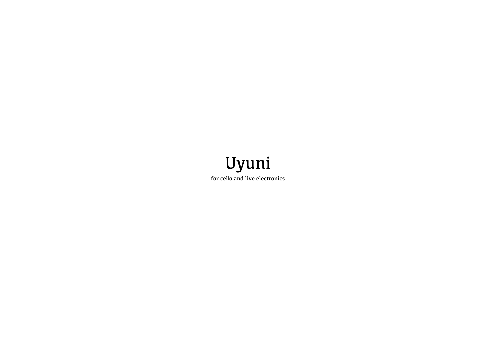## for cello and live electronics Uyuni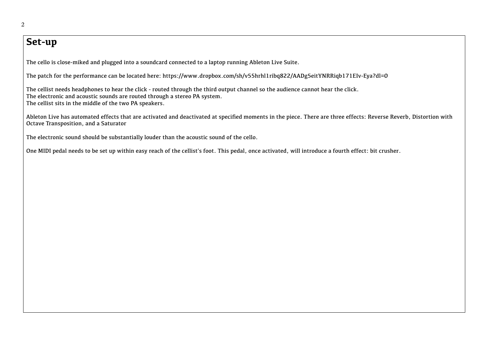## **Set-up**

The cello is close-miked and plugged into a soundcard connected to a laptop running Ableton Live Suite.

The patch for the performance can be located here: https://www.dropbox.com/sh/v55hrhl1ribq822/AADg5eitYNRRiqb171EIv-Eya?dl=0

The cellist needs headphones to hear the click - routed through the third output channel so the audience cannot hear the click.<br>The electronic and acoustic sounds are routed through a steree BA system. The electronic and acoustic sounds are routed through a stereo PA system. The cellist sits in the middle of the two PA speakers.

Ableton Live has automated effects that are activated and deactivated at specified moments in the piece. There are three effects: Reverse Reverb, Distortion with Octave Transposition, and a Saturator

The electronic sound should be substantially louder than the acoustic sound ofthe cello.

One MIDI pedal needs to be set up within easy reach of the cellist's foot. This pedal, once activated, will introduce a fourth effect: bit crusher.

2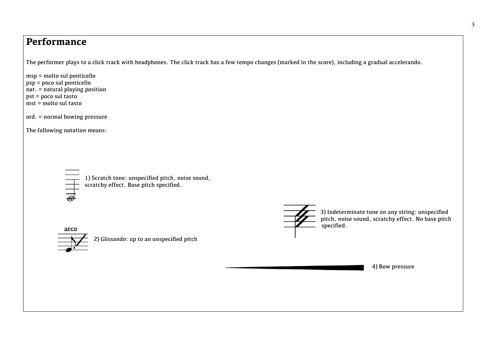## **Performance**

The performer plays to a click track with headphones. The click track has a few tempo changes (marked in the score), including a gradual accelerando.

msp = molto sul ponticello msp = morto sur ponticeno<br>psp = poco sul ponticello psp – poco sar ponticeno<br>nat. = natural plaving position nat: – naturui pidying posn<br>pst = poco sul tasto mst = molto sul tasto

ord. = normal bowing pressure

The following notation means:

arco

1) Scratch tone: unspecified pitch, noise sound,<br>scratchy effect. Base pitch specified.





3) Indeterminate tone on any string: unspecified p) macterminate tone on any string, anspecified<br>pitch, noise sound, scratchy effect. No base pitch specified.

4) Bow pressure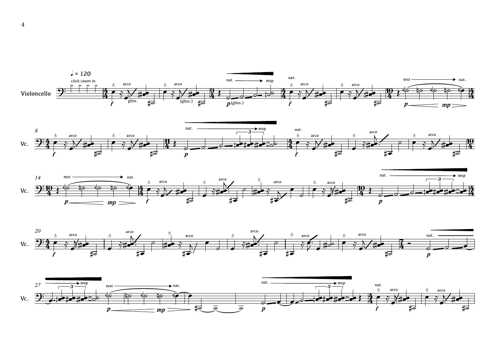







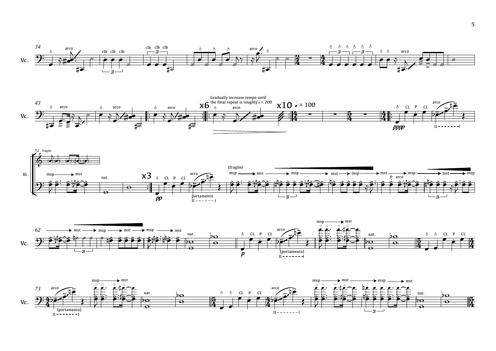